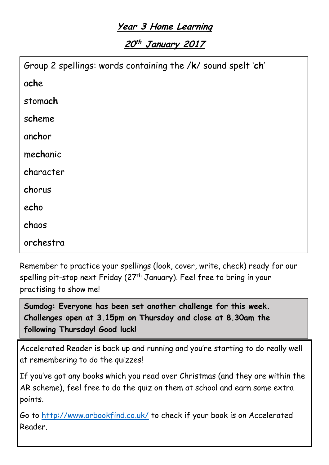## **Year 3 Home Learning**

**20 th January <sup>2017</sup>**

| Group 2 spellings: words containing the /k/ sound spelt 'ch' |
|--------------------------------------------------------------|
| ache                                                         |
| stomach                                                      |
| scheme                                                       |
| anchor                                                       |
| mechanic                                                     |
| character                                                    |
| chorus                                                       |
| echo                                                         |
| chaos                                                        |
| orchestra                                                    |

Remember to practice your spellings (look, cover, write, check) ready for our spelling pit-stop next Friday (27<sup>th</sup> January). Feel free to bring in your practising to show me!

**Sumdog: Everyone has been set another challenge for this week. Challenges open at 3.15pm on Thursday and close at 8.30am the following Thursday! Good luck!**

Accelerated Reader is back up and running and you're starting to do really well at remembering to do the quizzes!

If you've got any books which you read over Christmas (and they are within the AR scheme), feel free to do the quiz on them at school and earn some extra points.

Go to<http://www.arbookfind.co.uk/> to check if your book is on Accelerated Reader.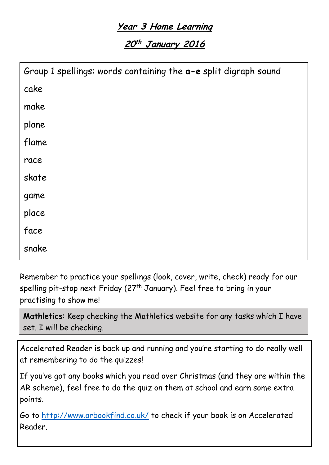## **Year 3 Home Learning**

**20 th January <sup>2016</sup>**

| Group 1 spellings: words containing the a-e split digraph sound |
|-----------------------------------------------------------------|
| cake                                                            |
| make                                                            |
| plane                                                           |
| flame                                                           |
| race                                                            |
| skate                                                           |
| game                                                            |
| place                                                           |
| face                                                            |
| snake                                                           |

Remember to practice your spellings (look, cover, write, check) ready for our spelling pit-stop next Friday (27<sup>th</sup> January). Feel free to bring in your practising to show me!

**Mathletics**: Keep checking the Mathletics website for any tasks which I have set. I will be checking.

Accelerated Reader is back up and running and you're starting to do really well at remembering to do the quizzes!

If you've got any books which you read over Christmas (and they are within the AR scheme), feel free to do the quiz on them at school and earn some extra points.

Go to<http://www.arbookfind.co.uk/> to check if your book is on Accelerated Reader.